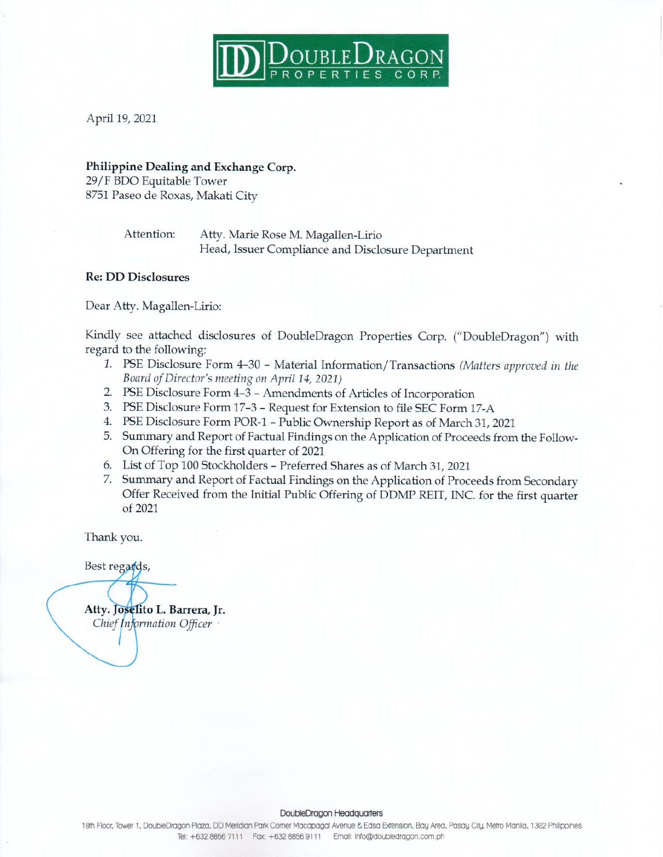

April 19, 2021

#### Philippine Dealing and Exchange Corp.

29/F BDO Equitable Tower 8751 Paseo de Roxas, Makati City

> Attention: Atty. Marie Rose M. Magallen-Lirio Head, Issuer Compliance and Disclosure Department

### **Re: DD Disclosures**

Dear Atty. Magallen-Lirio:

Kindly see attached disclosures of DoubleDragon Properties Corp. ("DoubleDragon") with regard to the following:

- 1. PSE Disclosure Form 4-30 Material Information/Transactions (Matters approved in the Board of Director's meeting on April 14, 2021)
- 2. PSE Disclosure Form 4-3 Amendments of Articles of Incorporation
- 3. PSE Disclosure Form 17-3 Request for Extension to file SEC Form 17-A
- 4. PSE Disclosure Form POR-1 Public Ownership Report as of March 31, 2021
- 5. Summary and Report of Factual Findings on the Application of Proceeds from the Follow-On Offering for the first quarter of 2021
- 6. List of Top 100 Stockholders Preferred Shares as of March 31, 2021
- 7. Summary and Report of Factual Findings on the Application of Proceeds from Secondary Offer Received from the Initial Public Offering of DDMP REIT, INC. for the first quarter of 2021

Thank you.

Best regards,

Atty. Joselito L. Barrera, Jr. Chief Information Officer

#### DoubleDragon Headquarters

10th Floor, Tower 1, DoubleDragon Plaza, DD Meridian Park Comer Macapagal Avenue & Edsa Extension, Bay Area, Pasay City, Metro Manila, 1302 Philippines Tel: +632 8856 7111 Fax: +632 8856 9111 Email: Info@doubledragon.com.ph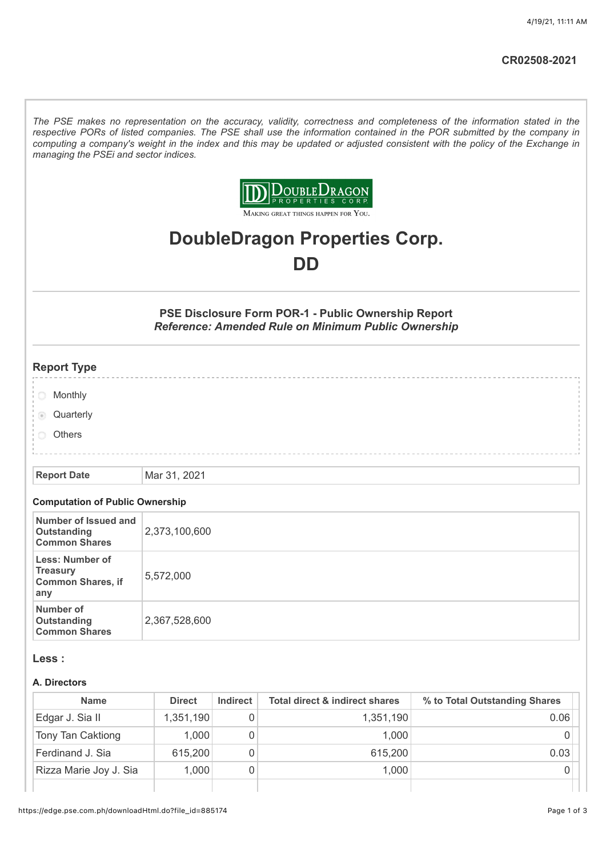*The PSE makes no representation on the accuracy, validity, correctness and completeness of the information stated in the respective PORs of listed companies. The PSE shall use the information contained in the POR submitted by the company in computing a company's weight in the index and this may be updated or adjusted consistent with the policy of the Exchange in managing the PSEi and sector indices.*



MAKING GREAT THINGS HAPPEN FOR YOU.

# **DoubleDragon Properties Corp. DD**

**PSE Disclosure Form POR-1 - Public Ownership Report** *Reference: Amended Rule on Minimum Public Ownership*

## **Report Type**

- **Monthly**
- **Quarterly**
- **Others**

#### **Report Date** Mar 31, 2021

#### **Computation of Public Ownership**

| Number of Issued and<br>Outstanding<br><b>Common Shares</b>    | 2,373,100,600 |
|----------------------------------------------------------------|---------------|
| Less: Number of<br>Treasury<br><b>Common Shares, if</b><br>any | 5,572,000     |
| Number of<br>Outstanding<br><b>Common Shares</b>               | 2,367,528,600 |

#### **Less :**

#### **A. Directors**

| <b>Name</b>            | <b>Direct</b> | <b>Indirect</b> | <b>Total direct &amp; indirect shares</b> | % to Total Outstanding Shares |
|------------------------|---------------|-----------------|-------------------------------------------|-------------------------------|
| Edgar J. Sia II        | 1,351,190     |                 | 1,351,190                                 | 0.06                          |
| Tony Tan Caktiong      | 1,000         |                 | 1.000                                     |                               |
| Ferdinand J. Sia       | 615,200       |                 | 615,200                                   | 0.03                          |
| Rizza Marie Joy J. Sia | 1,000         |                 | 1,000                                     |                               |
|                        |               |                 |                                           |                               |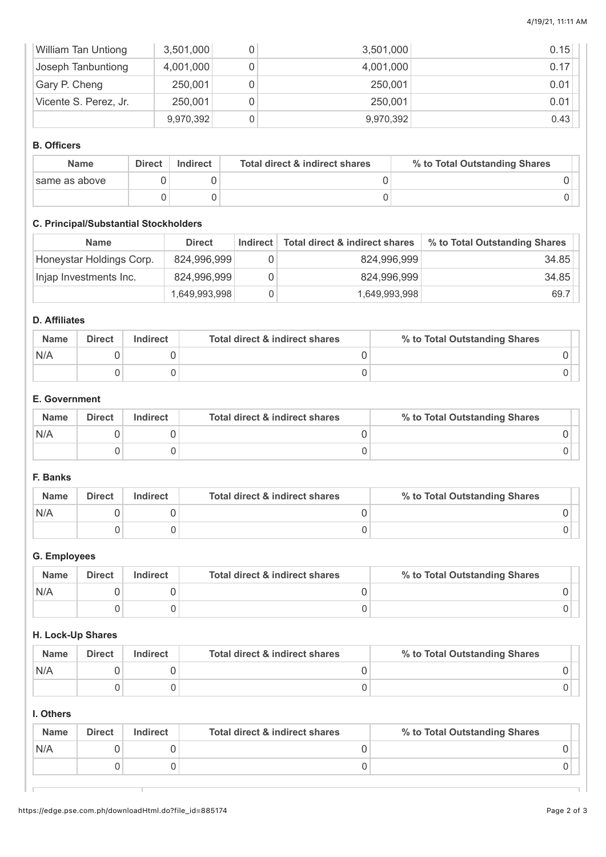| <b>William Tan Untiong</b> | 3,501,000 | 3,501,000 | 0.15 |
|----------------------------|-----------|-----------|------|
| Joseph Tanbuntiong         | 4,001,000 | 4,001,000 | 0.17 |
| Gary P. Cheng              | 250,001   | 250,001   | 0.01 |
| Vicente S. Perez, Jr.      | 250,001   | 250,001   | 0.01 |
|                            | 9,970,392 | 9,970,392 | 0.43 |

#### **B. Officers**

| <b>Name</b>   | Direct | Indirect | Total direct & indirect shares | % to Total Outstanding Shares |
|---------------|--------|----------|--------------------------------|-------------------------------|
| same as above |        |          |                                |                               |
|               |        |          |                                |                               |

### **C. Principal/Substantial Stockholders**

| <b>Name</b>              | <b>Direct</b> | <b>Indirect</b> | Total direct & indirect shares | % to Total Outstanding Shares |
|--------------------------|---------------|-----------------|--------------------------------|-------------------------------|
| Honeystar Holdings Corp. | 824,996,999   |                 | 824,996,999                    | 34.85                         |
| Injap Investments Inc.   | 824,996,999   |                 | 824,996,999                    | 34.85                         |
|                          | 1,649,993,998 |                 | 1,649,993,998                  | 69.7                          |

# **D. Affiliates**

| <b>Name</b> | <b>Direct</b> | <b>Indirect</b> | Total direct & indirect shares | % to Total Outstanding Shares |
|-------------|---------------|-----------------|--------------------------------|-------------------------------|
| N/A         |               |                 |                                |                               |
|             |               |                 |                                |                               |

## **E. Government**

| <b>Name</b> | <b>Direct</b> | Indirect | Total direct & indirect shares | % to Total Outstanding Shares |
|-------------|---------------|----------|--------------------------------|-------------------------------|
| N/A         |               |          |                                |                               |
|             |               |          |                                |                               |

# **F. Banks**

| <b>Name</b> | <b>Direct</b> | <b>Indirect</b> | Total direct & indirect shares | % to Total Outstanding Shares |
|-------------|---------------|-----------------|--------------------------------|-------------------------------|
| N/A         |               |                 |                                |                               |
|             |               |                 |                                |                               |

# **G. Employees**

| <b>Name</b> | Direct | Indirect | Total direct & indirect shares | % to Total Outstanding Shares |  |
|-------------|--------|----------|--------------------------------|-------------------------------|--|
| N/A         |        |          |                                |                               |  |
|             |        |          |                                |                               |  |

#### **H. Lock-Up Shares**

| <b>Name</b> | <b>Direct</b> | <b>Indirect</b> | Total direct & indirect shares | % to Total Outstanding Shares |
|-------------|---------------|-----------------|--------------------------------|-------------------------------|
| N/A         |               |                 |                                |                               |
|             |               |                 |                                |                               |

## **I. Others**

| <b>Name</b> | <b>Direct</b> | <b>Indirect</b> | <b>Total direct &amp; indirect shares</b> | % to Total Outstanding Shares |
|-------------|---------------|-----------------|-------------------------------------------|-------------------------------|
| N/A         |               |                 |                                           |                               |
|             |               |                 |                                           |                               |